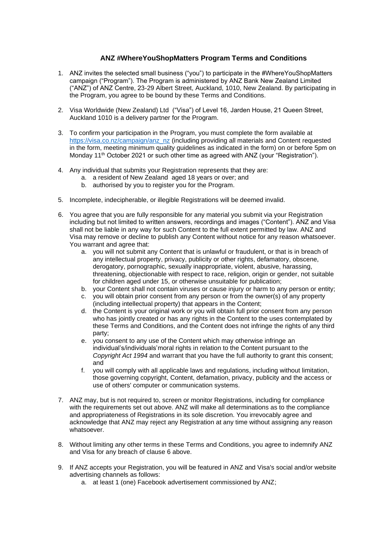## **ANZ #WhereYouShopMatters Program Terms and Conditions**

- 1. ANZ invites the selected small business ("you") to participate in the #WhereYouShopMatters campaign ("Program"). The Program is administered by ANZ Bank New Zealand Limited ("ANZ") of ANZ Centre, 23-29 Albert Street, Auckland, 1010, New Zealand. By participating in the Program, you agree to be bound by these Terms and Conditions.
- 2. Visa Worldwide (New Zealand) Ltd ("Visa") of Level 16, Jarden House, 21 Queen Street, Auckland 1010 is a delivery partner for the Program.
- 3. To confirm your participation in the Program, you must complete the form available at [https://visa.co.nz/campaign/anz\\_nz](https://visa.co.nz/campaign/anz_nz) (including providing all materials and Content requested in the form, meeting minimum quality guidelines as indicated in the form) on or before 5pm on Monday 11<sup>th</sup> October 2021 or such other time as agreed with ANZ (your "Registration").
- 4. Any individual that submits your Registration represents that they are:
	- a. a resident of New Zealand aged 18 years or over; and
	- b. authorised by you to register you for the Program.
- 5. Incomplete, indecipherable, or illegible Registrations will be deemed invalid.
- <span id="page-0-0"></span>6. You agree that you are fully responsible for any material you submit via your Registration including but not limited to written answers, recordings and images ("Content"). ANZ and Visa shall not be liable in any way for such Content to the full extent permitted by law. ANZ and Visa may remove or decline to publish any Content without notice for any reason whatsoever. You warrant and agree that:
	- a. you will not submit any Content that is unlawful or fraudulent, or that is in breach of any intellectual property, privacy, publicity or other rights, defamatory, obscene, derogatory, pornographic, sexually inappropriate, violent, abusive, harassing, threatening, objectionable with respect to race, religion, origin or gender, not suitable for children aged under 15, or otherwise unsuitable for publication;
	- b. your Content shall not contain viruses or cause injury or harm to any person or entity;
	- c. you will obtain prior consent from any person or from the owner(s) of any property (including intellectual property) that appears in the Content;
	- d. the Content is your original work or you will obtain full prior consent from any person who has jointly created or has any rights in the Content to the uses contemplated by these Terms and Conditions, and the Content does not infringe the rights of any third party;
	- e. you consent to any use of the Content which may otherwise infringe an individual's/individuals'moral rights in relation to the Content pursuant to the *Copyright Act 1994* and warrant that you have the full authority to grant this consent; and
	- f. you will comply with all applicable laws and regulations, including without limitation, those governing copyright, Content, defamation, privacy, publicity and the access or use of others' computer or communication systems.
- 7. ANZ may, but is not required to, screen or monitor Registrations, including for compliance with the requirements set out above. ANZ will make all determinations as to the compliance and appropriateness of Registrations in its sole discretion. You irrevocably agree and acknowledge that ANZ may reject any Registration at any time without assigning any reason whatsoever.
- 8. Without limiting any other terms in these Terms and Conditions, you agree to indemnify ANZ and Visa for any breach of clause [6 above.](#page-0-0)
- <span id="page-0-1"></span>9. If ANZ accepts your Registration, you will be featured in ANZ and Visa's social and/or website advertising channels as follows:
	- a. at least 1 (one) Facebook advertisement commissioned by ANZ;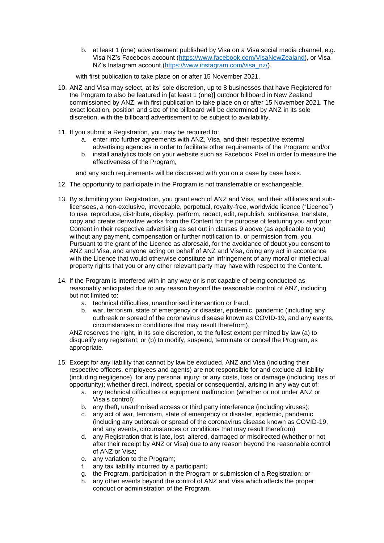b. at least 1 (one) advertisement published by Visa on a Visa social media channel, e.g. Visa NZ's Facebook account [\(https://www.facebook.com/VisaNewZealand\)](https://www.facebook.com/VisaNewZealand), or Visa NZ's Instagram account [\(https://www.instagram.com/visa\\_nz/\)](https://www.instagram.com/visa_nz/).

with first publication to take place on or after 15 November 2021.

- 10. ANZ and Visa may select, at its' sole discretion, up to 8 businesses that have Registered for the Program to also be featured in [at least 1 (one)] outdoor billboard in New Zealand commissioned by ANZ, with first publication to take place on or after 15 November 2021. The exact location, position and size of the billboard will be determined by ANZ in its sole discretion, with the billboard advertisement to be subject to availability.
- 11. If you submit a Registration, you may be required to:
	- a. enter into further agreements with ANZ, Visa, and their respective external advertising agencies in order to facilitate other requirements of the Program; and/or
	- b. install analytics tools on your website such as Facebook Pixel in order to measure the effectiveness of the Program,

and any such requirements will be discussed with you on a case by case basis.

- 12. The opportunity to participate in the Program is not transferrable or exchangeable.
- 13. By submitting your Registration, you grant each of ANZ and Visa, and their affiliates and sublicensees, a non-exclusive, irrevocable, perpetual, royalty-free, worldwide licence ("Licence") to use, reproduce, distribute, display, perform, redact, edit, republish, sublicense, translate, copy and create derivative works from the Content for the purpose of featuring you and your Content in their respective advertising as set out in clauses [9 above](#page-0-1) (as applicable to you) without any payment, compensation or further notification to, or permission from, you. Pursuant to the grant of the Licence as aforesaid, for the avoidance of doubt you consent to ANZ and Visa, and anyone acting on behalf of ANZ and Visa, doing any act in accordance with the Licence that would otherwise constitute an infringement of any moral or intellectual property rights that you or any other relevant party may have with respect to the Content.
- 14. If the Program is interfered with in any way or is not capable of being conducted as reasonably anticipated due to any reason beyond the reasonable control of ANZ, including but not limited to:
	- a. technical difficulties, unauthorised intervention or fraud,
	- b. war, terrorism, state of emergency or disaster, epidemic, pandemic (including any outbreak or spread of the coronavirus disease known as COVID-19, and any events, circumstances or conditions that may result therefrom),

ANZ reserves the right, in its sole discretion, to the fullest extent permitted by law (a) to disqualify any registrant; or (b) to modify, suspend, terminate or cancel the Program, as appropriate.

- 15. Except for any liability that cannot by law be excluded, ANZ and Visa (including their respective officers, employees and agents) are not responsible for and exclude all liability (including negligence), for any personal injury; or any costs, loss or damage (including loss of opportunity); whether direct, indirect, special or consequential, arising in any way out of:
	- a. any technical difficulties or equipment malfunction (whether or not under ANZ or Visa's control);
	- b. any theft, unauthorised access or third party interference (including viruses);
	- c. any act of war, terrorism, state of emergency or disaster, epidemic, pandemic (including any outbreak or spread of the coronavirus disease known as COVID-19, and any events, circumstances or conditions that may result therefrom)
	- d. any Registration that is late, lost, altered, damaged or misdirected (whether or not after their receipt by ANZ or Visa) due to any reason beyond the reasonable control of ANZ or Visa;
	-
	- e. any variation to the Program;<br>f. any tax liability incurred by a any tax liability incurred by a participant;
	- g. the Program, participation in the Program or submission of a Registration; or
	- h. any other events beyond the control of ANZ and Visa which affects the proper conduct or administration of the Program.